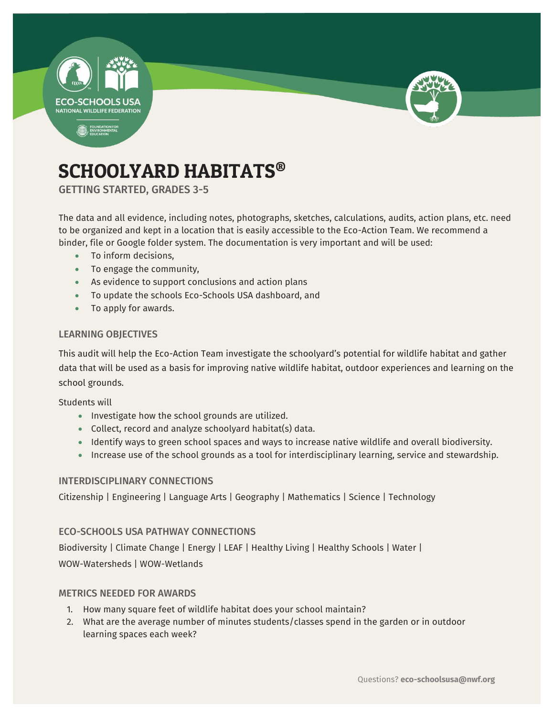



# SCHOOLYARD HABITATS®

GETTING STARTED, GRADES 3-5

The data and all evidence, including notes, photographs, sketches, calculations, audits, action plans, etc. need to be organized and kept in a location that is easily accessible to the Eco-Action Team. We recommend a binder, file or Google folder system. The documentation is very important and will be used:

- To inform decisions,
- To engage the community,
- As evidence to support conclusions and action plans
- To update the schools Eco-Schools USA dashboard, and
- To apply for awards.

### LEARNING OBJECTIVES

This audit will help the Eco-Action Team investigate the schoolyard's potential for wildlife habitat and gather data that will be used as a basis for improving native wildlife habitat, outdoor experiences and learning on the school grounds.

Students will

- Investigate how the school grounds are utilized.
- Collect, record and analyze schoolyard habitat(s) data.
- Identify ways to green school spaces and ways to increase native wildlife and overall biodiversity.
- Increase use of the school grounds as a tool for interdisciplinary learning, service and stewardship.

### INTERDISCIPLINARY CONNECTIONS

Citizenship | Engineering | Language Arts | Geography | Mathematics | Science | Technology

### ECO-SCHOOLS USA PATHWAY CONNECTIONS

Biodiversity | Climate Change | Energy | LEAF | Healthy Living | Healthy Schools | Water | WOW-Watersheds | WOW-Wetlands

### METRICS NEEDED FOR AWARDS

- 1. How many square feet of wildlife habitat does your school maintain?
- 2. What are the average number of minutes students/classes spend in the garden or in outdoor learning spaces each week?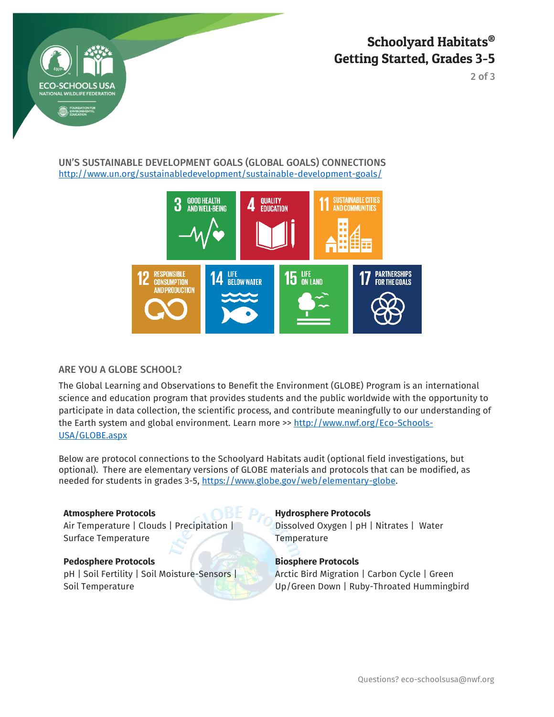



2 of 3

### UN'S SUSTAINABLE DEVELOPMENT GOALS (GLOBAL GOALS) CONNECTIONS <http://www.un.org/sustainabledevelopment/sustainable-development-goals/>



### ARE YOU A GLOBE SCHOOL?

The Global Learning and Observations to Benefit the Environment (GLOBE) Program is an international science and education program that provides students and the public worldwide with the opportunity to participate in data collection, the scientific process, and contribute meaningfully to our understanding of the Earth system and global environment. Learn more >> [http://www.nwf.org/Eco-Schools-](http://www.nwf.org/Eco-Schools-USA/GLOBE.aspx)[USA/GLOBE.aspx](http://www.nwf.org/Eco-Schools-USA/GLOBE.aspx)

Below are protocol connections to the Schoolyard Habitats audit (optional field investigations, but optional). There are elementary versions of GLOBE materials and protocols that can be modified, as needed for students in grades 3-5, https://www.globe.gov/web/elementary-globe.

Air Temperature | Clouds | Precipitation | Surface Temperature

### **Pedosphere Protocols Biosphere Protocols**

pH | Soil Fertility | Soil Moisture-Sensors | Soil Temperature

### **Atmosphere Protocols Hydrosphere Protocols**

Dissolved Oxygen | pH | Nitrates | Water **Temperature** 

Arctic Bird Migration | Carbon Cycle | Green Up/Green Down | Ruby-Throated Hummingbird